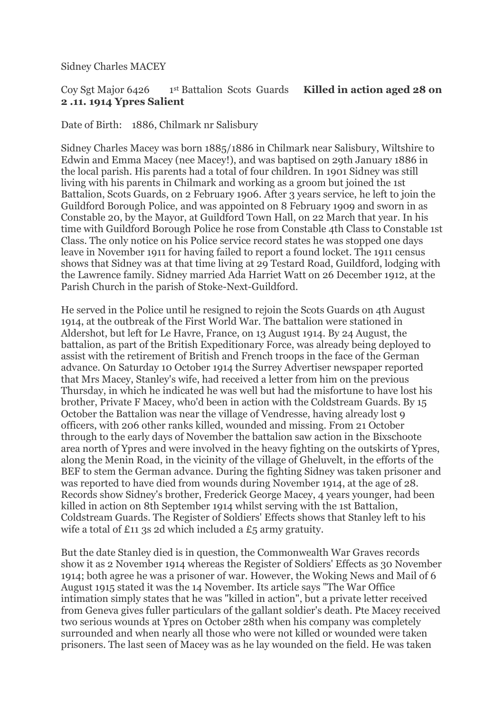Sidney Charles MACEY

## Coy Sgt Major 6426 1 st Battalion Scots Guards **Killed in action aged 28 on 2 .11. 1914 Ypres Salient**

Date of Birth: 1886, Chilmark nr Salisbury

Sidney Charles Macey was born 1885/1886 in Chilmark near Salisbury, Wiltshire to Edwin and Emma Macey (nee Macey!), and was baptised on 29th January 1886 in the local parish. His parents had a total of four children. In 1901 Sidney was still living with his parents in Chilmark and working as a groom but joined the 1st Battalion, Scots Guards, on 2 February 1906. After 3 years service, he left to join the Guildford Borough Police, and was appointed on 8 February 1909 and sworn in as Constable 20, by the Mayor, at Guildford Town Hall, on 22 March that year. In his time with Guildford Borough Police he rose from Constable 4th Class to Constable 1st Class. The only notice on his Police service record states he was stopped one days leave in November 1911 for having failed to report a found locket. The 1911 census shows that Sidney was at that time living at 29 Testard Road, Guildford, lodging with the Lawrence family. Sidney married Ada Harriet Watt on 26 December 1912, at the Parish Church in the parish of Stoke-Next-Guildford.

He served in the Police until he resigned to rejoin the Scots Guards on 4th August 1914, at the outbreak of the First World War. The battalion were stationed in Aldershot, but left for Le Havre, France, on 13 August 1914. By 24 August, the battalion, as part of the British Expeditionary Force, was already being deployed to assist with the retirement of British and French troops in the face of the German advance. On Saturday 10 October 1914 the Surrey Advertiser newspaper reported that Mrs Macey, Stanley's wife, had received a letter from him on the previous Thursday, in which he indicated he was well but had the misfortune to have lost his brother, Private F Macey, who'd been in action with the Coldstream Guards. By 15 October the Battalion was near the village of Vendresse, having already lost 9 officers, with 206 other ranks killed, wounded and missing. From 21 October through to the early days of November the battalion saw action in the Bixschoote area north of Ypres and were involved in the heavy fighting on the outskirts of Ypres, along the Menin Road, in the vicinity of the village of Gheluvelt, in the efforts of the BEF to stem the German advance. During the fighting Sidney was taken prisoner and was reported to have died from wounds during November 1914, at the age of 28. Records show Sidney's brother, Frederick George Macey, 4 years younger, had been killed in action on 8th September 1914 whilst serving with the 1st Battalion, Coldstream Guards. The Register of Soldiers' Effects shows that Stanley left to his wife a total of £11 3s 2d which included a £5 army gratuity.

But the date Stanley died is in question, the Commonwealth War Graves records show it as 2 November 1914 whereas the Register of Soldiers' Effects as 30 November 1914; both agree he was a prisoner of war. However, the Woking News and Mail of 6 August 1915 stated it was the 14 November. Its article says "The War Office intimation simply states that he was "killed in action", but a private letter received from Geneva gives fuller particulars of the gallant soldier's death. Pte Macey received two serious wounds at Ypres on October 28th when his company was completely surrounded and when nearly all those who were not killed or wounded were taken prisoners. The last seen of Macey was as he lay wounded on the field. He was taken